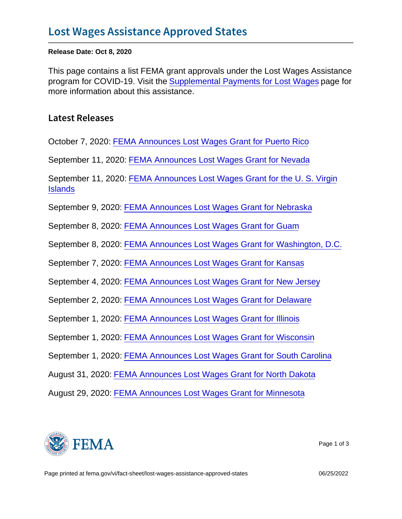Release Date: Oct 8, 2020

This page contains a list FEMA grant approvals under the Lost Wages Assistance program for COVID-19. Visit the [Supplemental Payments for Lost Wages](https://www.fema.gov/disasters/coronavirus/governments/supplemental-payments-lost-wages) page for more information about this assistance.

Latest Releases

October 7, 2020: [FEMA Announces Lost Wages Grant for Puerto Rico](https://www.fema.gov/press-release/20201007/fema-announces-lost-wages-grant-puerto-rico)

September 11, 2020: [FEMA Announces Lost Wages Grant for Nevada](https://www.fema.gov/press-release/20200911/fema-announces-lost-wages-grant-nevada)

September 11, 2020: [FEMA Announces Lost Wages Grant for the U. S. Virgin](https://www.fema.gov/press-release/20200911/fema-announces-lost-wages-grant-u-s-virgin-islands) **[Islands](https://www.fema.gov/press-release/20200911/fema-announces-lost-wages-grant-u-s-virgin-islands)** 

September 9, 2020: [FEMA Announces Lost Wages Grant for Nebraska](https://www.fema.gov/press-release/20200909/fema-announces-lost-wages-grant-nebraska)

September 8, 2020: [FEMA Announces Lost Wages Grant for Guam](https://www.fema.gov/press-release/20200908/fema-announces-lost-wages-grant-guam)

September 8, 2020: [FEMA Announces Lost Wages Grant for Washington, D.C.](https://www.fema.gov/press-release/20200908/fema-announces-lost-wages-grant-washington-dc)

September 7, 2020: [FEMA Announces Lost Wages Grant for Kansas](https://www.fema.gov/press-release/20200907/fema-announces-lost-wages-grant-kansas)

September 4, 2020: [FEMA Announces Lost Wages Grant for New Jersey](https://www.fema.gov/press-release/20200904/fema-announces-lost-wages-grant-new-jersey)

September 2, 2020: [FEMA Announces Lost Wages Grant for Delaware](https://www.fema.gov/press-release/20200902/fema-announces-lost-wages-grant-delaware)

September 1, 2020: [FEMA Announces Lost Wages Grant for Illinois](https://www.fema.gov/press-release/20200901/fema-announces-lost-wages-grant-illinois)

September 1, 2020: [FEMA Announces Lost Wages Grant for Wisconsin](https://www.fema.gov/press-release/20200901/fema-announces-lost-wages-grant-wisconsin)

September 1, 2020: [FEMA Announces Lost Wages Grant for South Carolina](https://www.fema.gov/press-release/20200901/fema-announces-lost-wages-grant-south-carolina)

August 31, 2020: [FEMA Announces Lost Wages Grant for North Dakota](https://www.fema.gov/press-release/20200831/fema-announces-lost-wages-grant-north-dakota)

August 29, 2020: [FEMA Announces Lost Wages Grant for Minnesota](https://www.fema.gov/press-release/20200829/fema-announces-lost-wages-grant-minnesota)



Page 1 of 3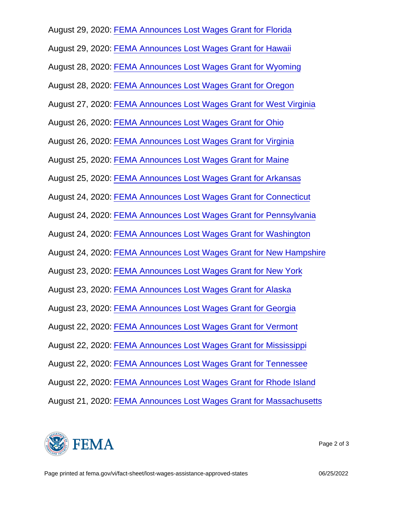August 29, 2020: [FEMA Announces Lost Wages Grant for Florida](https://www.fema.gov/press-release/20200829/fema-announces-lost-wages-grant-florida)

August 29, 2020: [FEMA Announces Lost Wages Grant for Hawaii](https://www.fema.gov/press-release/20200829/fema-announces-lost-wages-grant-hawaii)

August 28, 2020: [FEMA Announces Lost Wages Grant for Wyoming](https://www.fema.gov/press-release/20200828/fema-announces-lost-wages-grant-wyoming)

August 28, 2020: [FEMA Announces Lost Wages Grant for Oregon](https://www.fema.gov/press-release/20200828/fema-announces-lost-wages-grant-oregon)

August 27, 2020: [FEMA Announces Lost Wages Grant for West Virginia](https://www.fema.gov/press-release/20200827/fema-announces-lost-wages-grant-west-virginia)

August 26, 2020: [FEMA Announces Lost Wages Grant for Ohio](https://www.fema.gov/press-release/20200826/fema-announces-lost-wages-grant-ohio)

August 26, 2020: [FEMA Announces Lost Wages Grant for Virginia](https://www.fema.gov/press-release/20200826/fema-announces-lost-wages-grant-virginia)

August 25, 2020: [FEMA Announces Lost Wages Grant for Maine](https://www.fema.gov/press-release/20200825/fema-announces-lost-wages-grant-maine)

August 25, 2020: [FEMA Announces Lost Wages Grant for Arkansas](https://www.fema.gov/press-release/20200825/fema-announces-lost-wages-grant-arkansas)

August 24, 2020: [FEMA Announces Lost Wages Grant for Connecticut](https://www.fema.gov/press-release/20200824/fema-announces-lost-wages-grant-connecticut)

August 24, 2020: [FEMA Announces Lost Wages Grant for Pennsylvania](https://www.fema.gov/press-release/20200824/fema-announces-lost-wages-grant-pennsylvania)

August 24, 2020: [FEMA Announces Lost Wages Grant for Washington](https://www.fema.gov/press-release/20200824/fema-announces-lost-wages-grant-washington)

August 24, 2020: [FEMA Announces Lost Wages Grant for New Hampshire](https://www.fema.gov/press-release/20200824/fema-announces-lost-wages-grant-new-hampshire)

August 23, 2020: [FEMA Announces Lost Wages Grant for New York](https://www.fema.gov/press-release/20200823/fema-announces-lost-wages-grant-new-york)

August 23, 2020: [FEMA Announces Lost Wages Grant for Alaska](https://www.fema.gov/press-release/20200823/fema-announces-lost-wages-grant-alaska)

August 23, 2020: [FEMA Announces Lost Wages Grant for Georgia](https://www.fema.gov/press-release/20200823/fema-announces-lost-wages-grant-georgia)

August 22, 2020: [FEMA Announces Lost Wages Grant for Vermont](https://www.fema.gov/press-release/20200822/fema-announces-lost-wages-grant-vermont)

August 22, 2020: [FEMA Announces Lost Wages Grant for Mississippi](https://www.fema.gov/press-release/20200822/fema-announces-lost-wages-grant-mississippi)

August 22, 2020: [FEMA Announces Lost Wages Grant for Tennessee](https://www.fema.gov/press-release/20200822/fema-announces-lost-wages-grant-tennessee)

August 22, 2020: [FEMA Announces Lost Wages Grant for Rhode Island](https://www.fema.gov/press-release/20200822/fema-announces-lost-wages-grant-rhode-island)

August 21, 2020: [FEMA Announces Lost Wages Grant for Massachusetts](https://www.fema.gov/press-release/20200821/fema-announces-lost-wages-grant-massachusetts)



Page 2 of 3